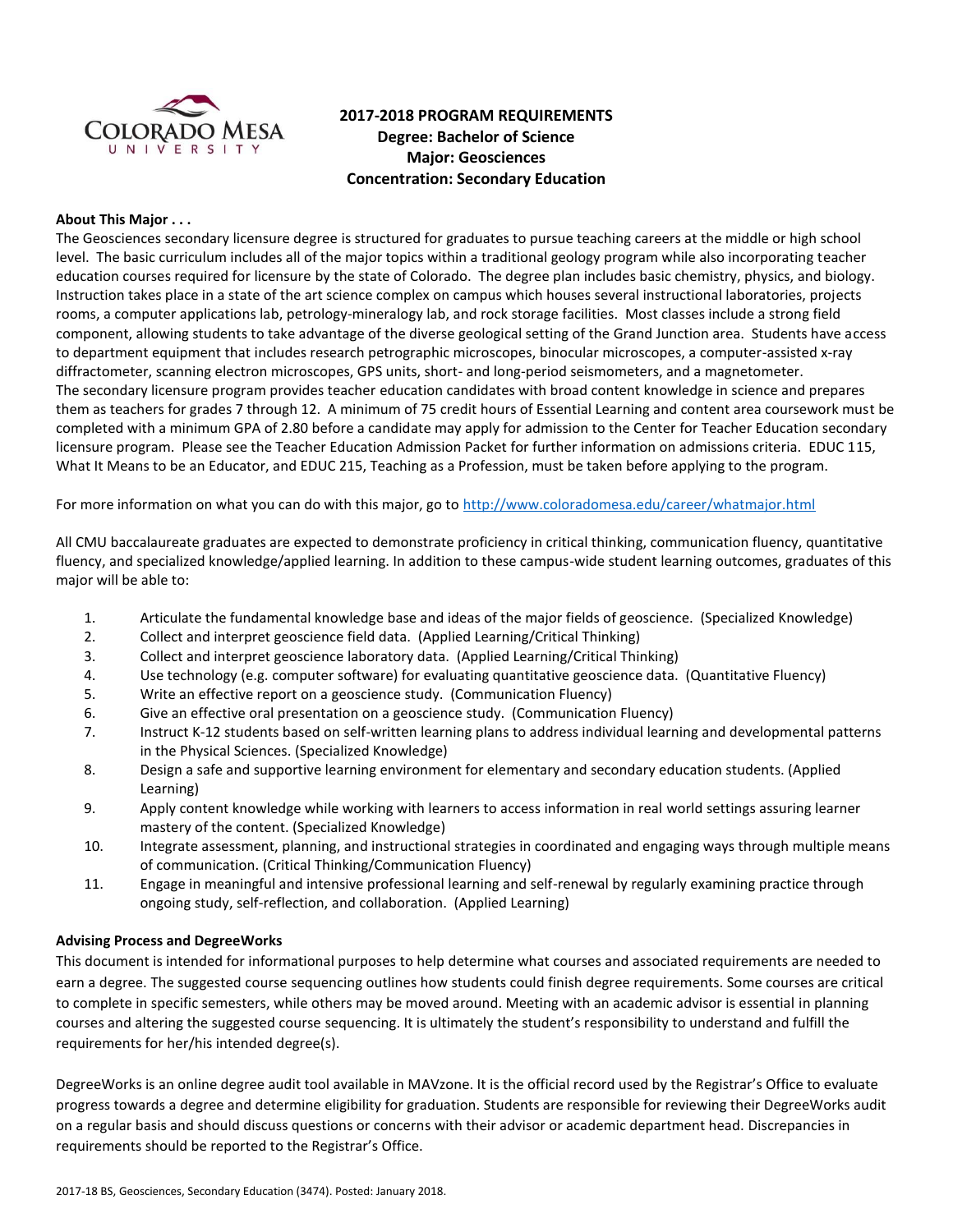

# **2017-2018 PROGRAM REQUIREMENTS Degree: Bachelor of Science Major: Geosciences Concentration: Secondary Education**

### **About This Major . . .**

The Geosciences secondary licensure degree is structured for graduates to pursue teaching careers at the middle or high school level. The basic curriculum includes all of the major topics within a traditional geology program while also incorporating teacher education courses required for licensure by the state of Colorado. The degree plan includes basic chemistry, physics, and biology. Instruction takes place in a state of the art science complex on campus which houses several instructional laboratories, projects rooms, a computer applications lab, petrology-mineralogy lab, and rock storage facilities. Most classes include a strong field component, allowing students to take advantage of the diverse geological setting of the Grand Junction area. Students have access to department equipment that includes research petrographic microscopes, binocular microscopes, a computer-assisted x-ray diffractometer, scanning electron microscopes, GPS units, short- and long-period seismometers, and a magnetometer. The secondary licensure program provides teacher education candidates with broad content knowledge in science and prepares them as teachers for grades 7 through 12. A minimum of 75 credit hours of Essential Learning and content area coursework must be completed with a minimum GPA of 2.80 before a candidate may apply for admission to the Center for Teacher Education secondary licensure program. Please see the Teacher Education Admission Packet for further information on admissions criteria. EDUC 115, What It Means to be an Educator, and EDUC 215, Teaching as a Profession, must be taken before applying to the program.

For more information on what you can do with this major, go to<http://www.coloradomesa.edu/career/whatmajor.html>

All CMU baccalaureate graduates are expected to demonstrate proficiency in critical thinking, communication fluency, quantitative fluency, and specialized knowledge/applied learning. In addition to these campus-wide student learning outcomes, graduates of this major will be able to:

- 1. Articulate the fundamental knowledge base and ideas of the major fields of geoscience. (Specialized Knowledge)
- 2. Collect and interpret geoscience field data. (Applied Learning/Critical Thinking)
- 3. Collect and interpret geoscience laboratory data. (Applied Learning/Critical Thinking)
- 4. Use technology (e.g. computer software) for evaluating quantitative geoscience data. (Quantitative Fluency)
- 5. Write an effective report on a geoscience study. (Communication Fluency)
- 6. Give an effective oral presentation on a geoscience study. (Communication Fluency)
- 7. Instruct K-12 students based on self-written learning plans to address individual learning and developmental patterns in the Physical Sciences. (Specialized Knowledge)
- 8. Design a safe and supportive learning environment for elementary and secondary education students. (Applied Learning)
- 9. Apply content knowledge while working with learners to access information in real world settings assuring learner mastery of the content. (Specialized Knowledge)
- 10. Integrate assessment, planning, and instructional strategies in coordinated and engaging ways through multiple means of communication. (Critical Thinking/Communication Fluency)
- 11. Engage in meaningful and intensive professional learning and self-renewal by regularly examining practice through ongoing study, self-reflection, and collaboration. (Applied Learning)

#### **Advising Process and DegreeWorks**

This document is intended for informational purposes to help determine what courses and associated requirements are needed to earn a degree. The suggested course sequencing outlines how students could finish degree requirements. Some courses are critical to complete in specific semesters, while others may be moved around. Meeting with an academic advisor is essential in planning courses and altering the suggested course sequencing. It is ultimately the student's responsibility to understand and fulfill the requirements for her/his intended degree(s).

DegreeWorks is an online degree audit tool available in MAVzone. It is the official record used by the Registrar's Office to evaluate progress towards a degree and determine eligibility for graduation. Students are responsible for reviewing their DegreeWorks audit on a regular basis and should discuss questions or concerns with their advisor or academic department head. Discrepancies in requirements should be reported to the Registrar's Office.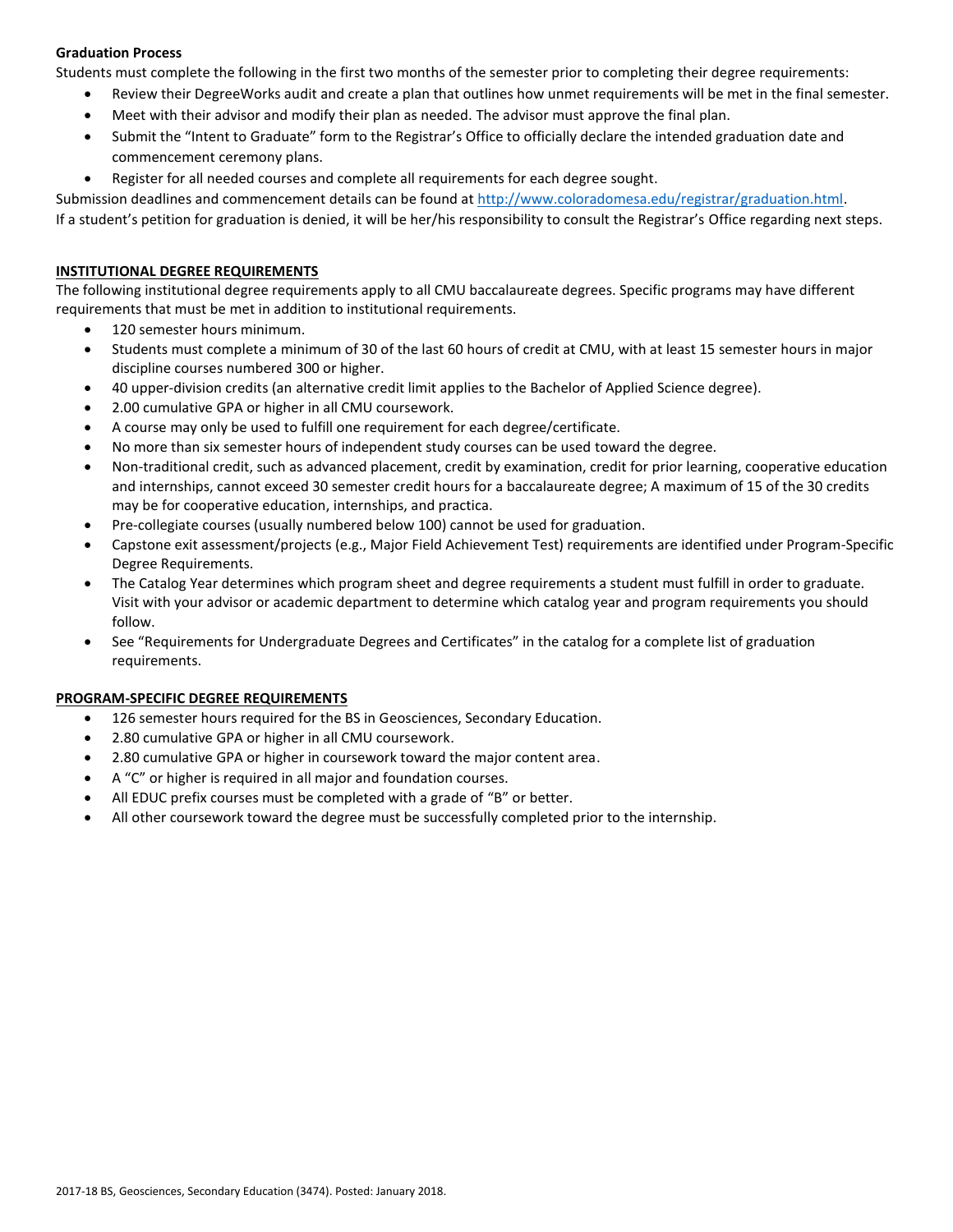# **Graduation Process**

Students must complete the following in the first two months of the semester prior to completing their degree requirements:

- Review their DegreeWorks audit and create a plan that outlines how unmet requirements will be met in the final semester.
- Meet with their advisor and modify their plan as needed. The advisor must approve the final plan.
- Submit the "Intent to Graduate" form to the Registrar's Office to officially declare the intended graduation date and commencement ceremony plans.
- Register for all needed courses and complete all requirements for each degree sought.

Submission deadlines and commencement details can be found at [http://www.coloradomesa.edu/registrar/graduation.html.](http://www.coloradomesa.edu/registrar/graduation.html)

If a student's petition for graduation is denied, it will be her/his responsibility to consult the Registrar's Office regarding next steps.

### **INSTITUTIONAL DEGREE REQUIREMENTS**

The following institutional degree requirements apply to all CMU baccalaureate degrees. Specific programs may have different requirements that must be met in addition to institutional requirements.

- 120 semester hours minimum.
- Students must complete a minimum of 30 of the last 60 hours of credit at CMU, with at least 15 semester hours in major discipline courses numbered 300 or higher.
- 40 upper-division credits (an alternative credit limit applies to the Bachelor of Applied Science degree).
- 2.00 cumulative GPA or higher in all CMU coursework.
- A course may only be used to fulfill one requirement for each degree/certificate.
- No more than six semester hours of independent study courses can be used toward the degree.
- Non-traditional credit, such as advanced placement, credit by examination, credit for prior learning, cooperative education and internships, cannot exceed 30 semester credit hours for a baccalaureate degree; A maximum of 15 of the 30 credits may be for cooperative education, internships, and practica.
- Pre-collegiate courses (usually numbered below 100) cannot be used for graduation.
- Capstone exit assessment/projects (e.g., Major Field Achievement Test) requirements are identified under Program-Specific Degree Requirements.
- The Catalog Year determines which program sheet and degree requirements a student must fulfill in order to graduate. Visit with your advisor or academic department to determine which catalog year and program requirements you should follow.
- See "Requirements for Undergraduate Degrees and Certificates" in the catalog for a complete list of graduation requirements.

# **PROGRAM-SPECIFIC DEGREE REQUIREMENTS**

- 126 semester hours required for the BS in Geosciences, Secondary Education.
- 2.80 cumulative GPA or higher in all CMU coursework.
- 2.80 cumulative GPA or higher in coursework toward the major content area.
- A "C" or higher is required in all major and foundation courses.
- All EDUC prefix courses must be completed with a grade of "B" or better.
- All other coursework toward the degree must be successfully completed prior to the internship.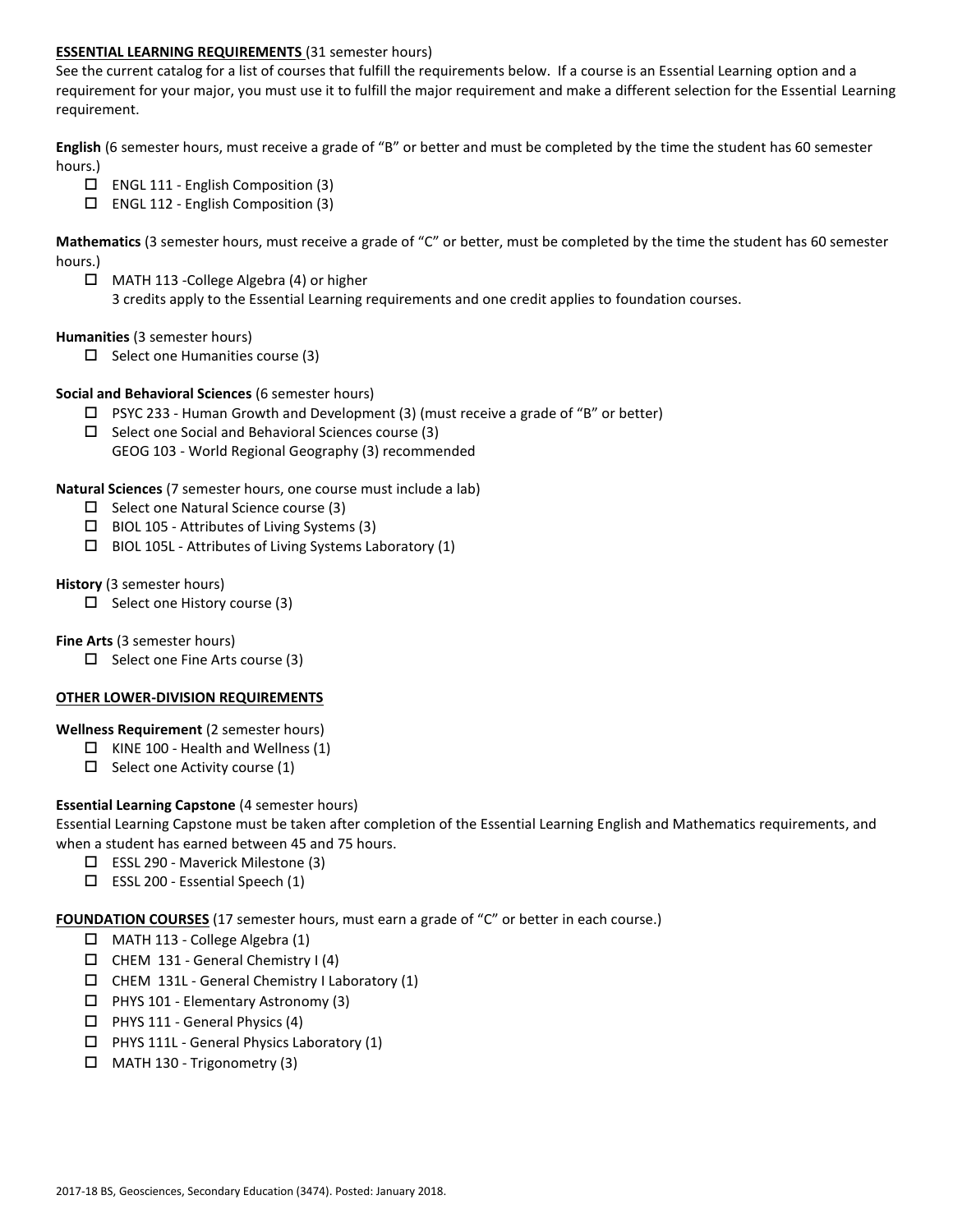### **ESSENTIAL LEARNING REQUIREMENTS** (31 semester hours)

See the current catalog for a list of courses that fulfill the requirements below. If a course is an Essential Learning option and a requirement for your major, you must use it to fulfill the major requirement and make a different selection for the Essential Learning requirement.

**English** (6 semester hours, must receive a grade of "B" or better and must be completed by the time the student has 60 semester hours.)

- ENGL 111 English Composition (3)
- ENGL 112 English Composition (3)

**Mathematics** (3 semester hours, must receive a grade of "C" or better, must be completed by the time the student has 60 semester hours.)

 MATH 113 -College Algebra (4) or higher 3 credits apply to the Essential Learning requirements and one credit applies to foundation courses.

#### **Humanities** (3 semester hours)

 $\Box$  Select one Humanities course (3)

### **Social and Behavioral Sciences** (6 semester hours)

- $\Box$  PSYC 233 Human Growth and Development (3) (must receive a grade of "B" or better)
- $\square$  Select one Social and Behavioral Sciences course (3) GEOG 103 - World Regional Geography (3) recommended

### **Natural Sciences** (7 semester hours, one course must include a lab)

- $\Box$  Select one Natural Science course (3)
- $\Box$  BIOL 105 Attributes of Living Systems (3)
- $\square$  BIOL 105L Attributes of Living Systems Laboratory (1)

### **History** (3 semester hours)

 $\Box$  Select one History course (3)

**Fine Arts** (3 semester hours)

 $\Box$  Select one Fine Arts course (3)

#### **OTHER LOWER-DIVISION REQUIREMENTS**

#### **Wellness Requirement** (2 semester hours)

- $\Box$  KINE 100 Health and Wellness (1)
- $\Box$  Select one Activity course (1)

# **Essential Learning Capstone** (4 semester hours)

Essential Learning Capstone must be taken after completion of the Essential Learning English and Mathematics requirements, and when a student has earned between 45 and 75 hours.

- ESSL 290 Maverick Milestone (3)
- $\square$  ESSL 200 Essential Speech (1)

**FOUNDATION COURSES** (17 semester hours, must earn a grade of "C" or better in each course.)

- $\Box$  MATH 113 College Algebra (1)
- $\Box$  CHEM 131 General Chemistry I (4)
- $\Box$  CHEM 131L General Chemistry I Laboratory (1)
- $\Box$  PHYS 101 Elementary Astronomy (3)
- $\Box$  PHYS 111 General Physics (4)
- $\Box$  PHYS 111L General Physics Laboratory (1)
- $\Box$  MATH 130 Trigonometry (3)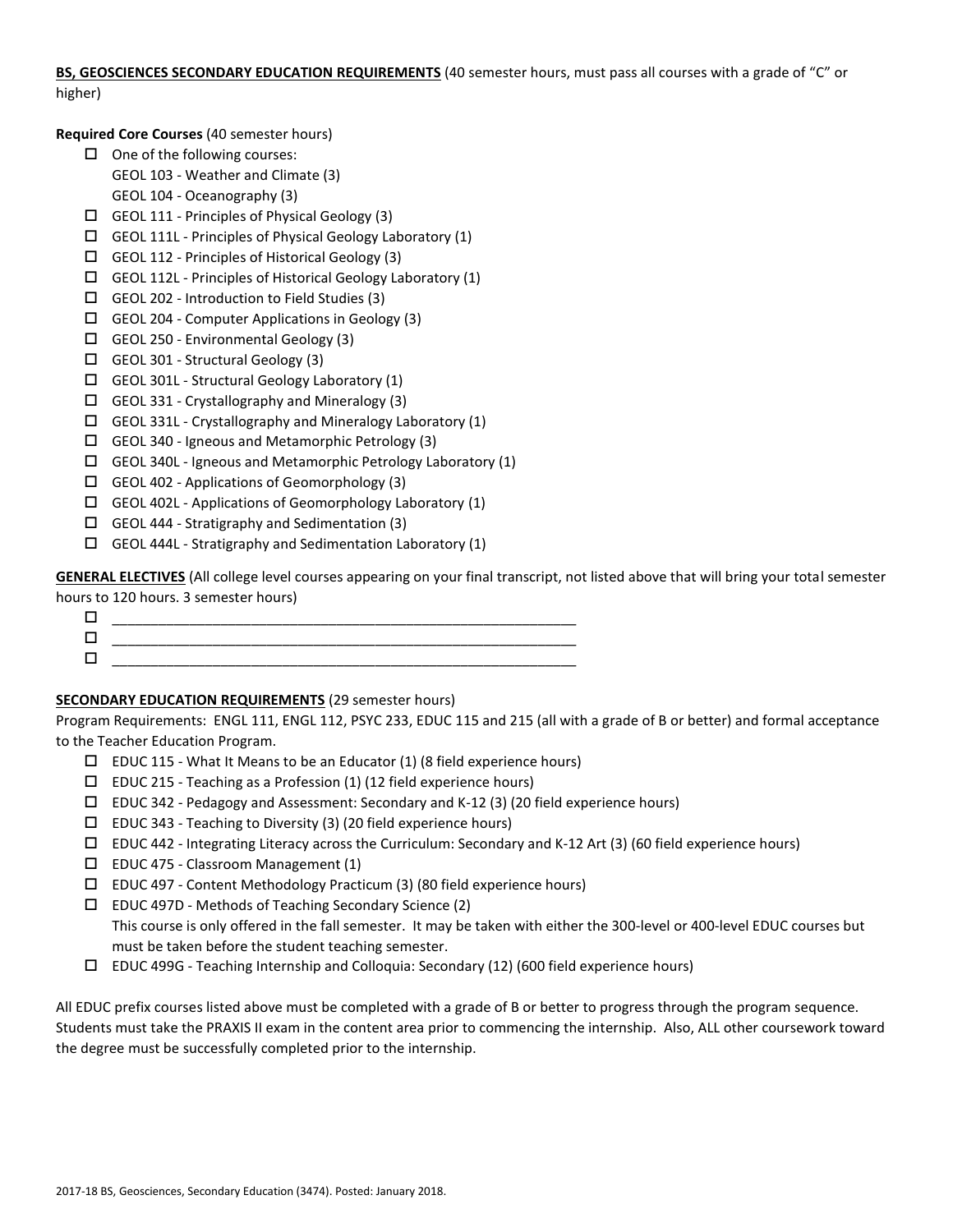**BS, GEOSCIENCES SECONDARY EDUCATION REQUIREMENTS** (40 semester hours, must pass all courses with a grade of "C" or higher)

**Required Core Courses** (40 semester hours)

- $\Box$  One of the following courses:
	- GEOL 103 Weather and Climate (3)
	- GEOL 104 Oceanography (3)
- $\Box$  GEOL 111 Principles of Physical Geology (3)
- GEOL 111L Principles of Physical Geology Laboratory (1)
- GEOL 112 Principles of Historical Geology (3)
- $\Box$  GEOL 112L Principles of Historical Geology Laboratory (1)
- GEOL 202 Introduction to Field Studies (3)
- $\Box$  GEOL 204 Computer Applications in Geology (3)
- $\Box$  GEOL 250 Environmental Geology (3)
- GEOL 301 Structural Geology (3)
- $\Box$  GEOL 301L Structural Geology Laboratory (1)
- GEOL 331 Crystallography and Mineralogy (3)
- $\Box$  GEOL 331L Crystallography and Mineralogy Laboratory (1)
- GEOL 340 Igneous and Metamorphic Petrology (3)
- GEOL 340L Igneous and Metamorphic Petrology Laboratory (1)
- $\Box$  GEOL 402 Applications of Geomorphology (3)
- $\Box$  GEOL 402L Applications of Geomorphology Laboratory (1)
- $\Box$  GEOL 444 Stratigraphy and Sedimentation (3)
- $\Box$  GEOL 444L Stratigraphy and Sedimentation Laboratory (1)

**GENERAL ELECTIVES** (All college level courses appearing on your final transcript, not listed above that will bring your total semester hours to 120 hours. 3 semester hours)

 \_\_\_\_\_\_\_\_\_\_\_\_\_\_\_\_\_\_\_\_\_\_\_\_\_\_\_\_\_\_\_\_\_\_\_\_\_\_\_\_\_\_\_\_\_\_\_\_\_\_\_\_\_\_\_\_\_\_\_\_  $\Box$  , and the contract of the contract of the contract of the contract of the contract of the contract of the contract of the contract of the contract of the contract of the contract of the contract of the contract of th \_\_\_\_\_\_\_\_\_\_\_\_\_\_\_\_\_\_\_\_\_\_\_\_\_\_\_\_\_\_\_\_\_\_\_\_\_\_\_\_\_\_\_\_\_\_\_\_\_\_\_\_\_\_\_\_\_\_\_\_

# **SECONDARY EDUCATION REQUIREMENTS** (29 semester hours)

Program Requirements: ENGL 111, ENGL 112, PSYC 233, EDUC 115 and 215 (all with a grade of B or better) and formal acceptance to the Teacher Education Program.

- $\square$  EDUC 115 What It Means to be an Educator (1) (8 field experience hours)
- $\square$  EDUC 215 Teaching as a Profession (1) (12 field experience hours)
- $\square$  EDUC 342 Pedagogy and Assessment: Secondary and K-12 (3) (20 field experience hours)
- $\square$  EDUC 343 Teaching to Diversity (3) (20 field experience hours)
- $\Box$  EDUC 442 Integrating Literacy across the Curriculum: Secondary and K-12 Art (3) (60 field experience hours)
- EDUC 475 Classroom Management (1)
- EDUC 497 Content Methodology Practicum (3) (80 field experience hours)
- EDUC 497D Methods of Teaching Secondary Science (2) This course is only offered in the fall semester. It may be taken with either the 300-level or 400-level EDUC courses but must be taken before the student teaching semester.
- EDUC 499G Teaching Internship and Colloquia: Secondary (12) (600 field experience hours)

All EDUC prefix courses listed above must be completed with a grade of B or better to progress through the program sequence. Students must take the PRAXIS II exam in the content area prior to commencing the internship. Also, ALL other coursework toward the degree must be successfully completed prior to the internship.